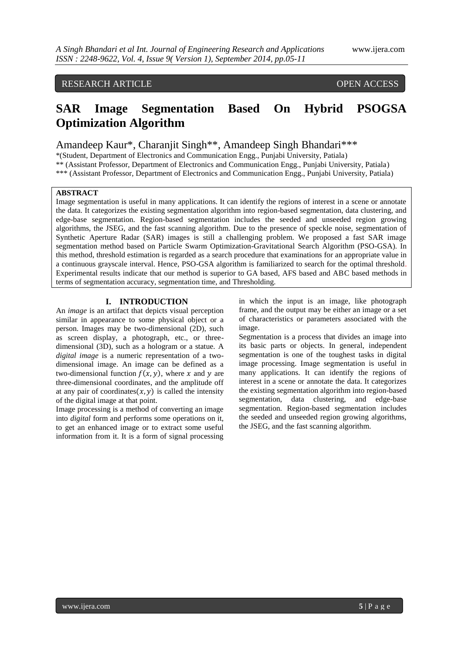# RESEARCH ARTICLE OPEN ACCESS

# **SAR Image Segmentation Based On Hybrid PSOGSA Optimization Algorithm**

Amandeep Kaur\*, Charanjit Singh\*\*, Amandeep Singh Bhandari\*\*\*

\*(Student, Department of Electronics and Communication Engg., Punjabi University, Patiala)

\*\* (Assistant Professor, Department of Electronics and Communication Engg., Punjabi University, Patiala)

\*\*\* (Assistant Professor, Department of Electronics and Communication Engg., Punjabi University, Patiala)

## **ABSTRACT**

Image segmentation is useful in many applications. It can identify the regions of interest in a scene or annotate the data. It categorizes the existing segmentation algorithm into region-based segmentation, data clustering, and edge-base segmentation. Region-based segmentation includes the seeded and unseeded region growing algorithms, the JSEG, and the fast scanning algorithm. Due to the presence of speckle noise, segmentation of Synthetic Aperture Radar (SAR) images is still a challenging problem. We proposed a fast SAR image segmentation method based on Particle Swarm Optimization-Gravitational Search Algorithm (PSO-GSA). In this method, threshold estimation is regarded as a search procedure that examinations for an appropriate value in a continuous grayscale interval. Hence, PSO-GSA algorithm is familiarized to search for the optimal threshold. Experimental results indicate that our method is superior to GA based, AFS based and ABC based methods in terms of segmentation accuracy, segmentation time, and Thresholding.

# **I. INTRODUCTION**

An *image* is an artifact that depicts visual perception similar in appearance to some physical object or a person. Images may be two-dimensional (2D), such as screen display, a photograph, etc., or threedimensional (3D), such as a hologram or a statue. A *digital image* is a numeric representation of a twodimensional image. An image can be defined as a two-dimensional function  $f(x, y)$ , where x and y are three-dimensional coordinates, and the amplitude off at any pair of coordinates  $(x, y)$  is called the intensity of the digital image at that point.

Image processing is a method of converting an image into *digital* form and performs some operations on it, to get an enhanced image or to extract some useful information from it. It is a form of signal processing

in which the input is an image, like photograph frame, and the output may be either an image or a set of characteristics or parameters associated with the image.

Segmentation is a process that divides an image into its basic parts or objects. In general, independent segmentation is one of the toughest tasks in digital image processing. Image segmentation is useful in many applications. It can identify the regions of interest in a scene or annotate the data. It categorizes the existing segmentation algorithm into region-based segmentation, data clustering, and edge-base segmentation. Region-based segmentation includes the seeded and unseeded region growing algorithms, the JSEG, and the fast scanning algorithm.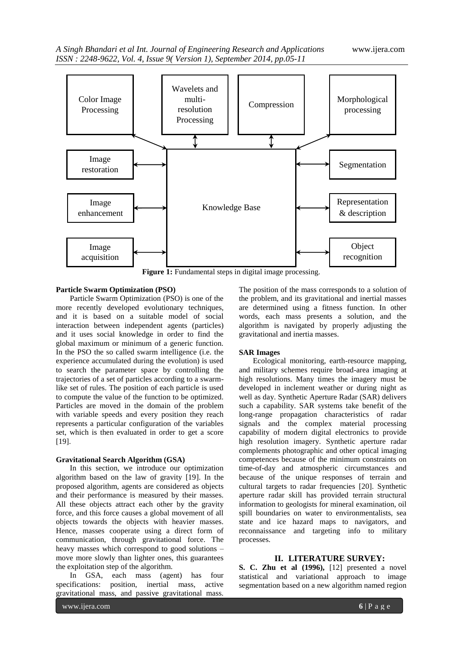

Figure 1: Fundamental steps in digital image processing.

# **Particle Swarm Optimization (PSO)**

Particle Swarm Optimization (PSO) is one of the more recently developed evolutionary techniques, and it is based on a suitable model of social interaction between independent agents (particles) and it uses social knowledge in order to find the global maximum or minimum of a generic function. In the PSO the so called swarm intelligence (i.e. the experience accumulated during the evolution) is used to search the parameter space by controlling the trajectories of a set of particles according to a swarmlike set of rules. The position of each particle is used to compute the value of the function to be optimized. Particles are moved in the domain of the problem with variable speeds and every position they reach represents a particular configuration of the variables set, which is then evaluated in order to get a score [19].

### **Gravitational Search Algorithm (GSA)**

In this section, we introduce our optimization algorithm based on the law of gravity [19]. In the proposed algorithm, agents are considered as objects and their performance is measured by their masses. All these objects attract each other by the gravity force, and this force causes a global movement of all objects towards the objects with heavier masses. Hence, masses cooperate using a direct form of communication, through gravitational force. The heavy masses which correspond to good solutions – move more slowly than lighter ones, this guarantees the exploitation step of the algorithm.

In GSA, each mass (agent) has four specifications: position, inertial mass, active gravitational mass, and passive gravitational mass.

The position of the mass corresponds to a solution of the problem, and its gravitational and inertial masses are determined using a fitness function. In other words, each mass presents a solution, and the algorithm is navigated by properly adjusting the gravitational and inertia masses.

# **SAR Images**

Ecological monitoring, earth-resource mapping, and military schemes require broad-area imaging at high resolutions. Many times the imagery must be developed in inclement weather or during night as well as day. Synthetic Aperture Radar (SAR) delivers such a capability. SAR systems take benefit of the long-range propagation characteristics of radar signals and the complex material processing capability of modern digital electronics to provide high resolution imagery. Synthetic aperture radar complements photographic and other optical imaging competences because of the minimum constraints on time-of-day and atmospheric circumstances and because of the unique responses of terrain and cultural targets to radar frequencies [20]. Synthetic aperture radar skill has provided terrain structural information to geologists for mineral examination, oil spill boundaries on water to environmentalists, sea state and ice hazard maps to navigators, and reconnaissance and targeting info to military processes.

# **II. LITERATURE SURVEY:**

**S. C. Zhu et al (1996),** [12] presented a novel statistical and variational approach to image segmentation based on a new algorithm named region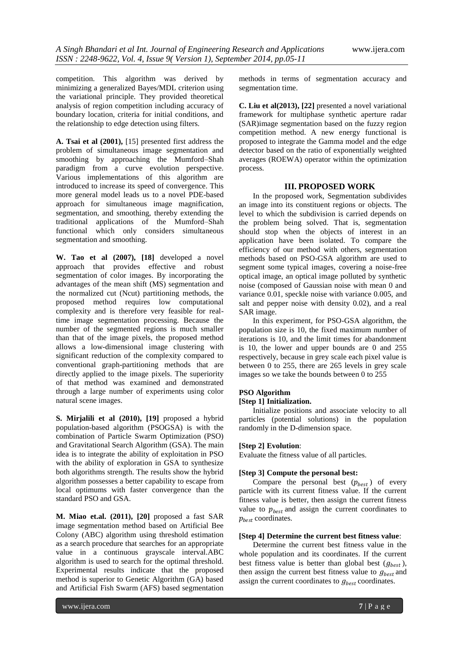competition. This algorithm was derived by minimizing a generalized Bayes/MDL criterion using the variational principle. They provided theoretical analysis of region competition including accuracy of boundary location, criteria for initial conditions, and the relationship to edge detection using filters.

**A. Tsai et al (2001),** [15] presented first address the problem of simultaneous image segmentation and smoothing by approaching the Mumford–Shah paradigm from a curve evolution perspective. Various implementations of this algorithm are introduced to increase its speed of convergence. This more general model leads us to a novel PDE-based approach for simultaneous image magnification, segmentation, and smoothing, thereby extending the traditional applications of the Mumford–Shah functional which only considers simultaneous segmentation and smoothing.

**W. Tao et al (2007), [18]** developed a novel approach that provides effective and robust segmentation of color images. By incorporating the advantages of the mean shift (MS) segmentation and the normalized cut (Ncut) partitioning methods, the proposed method requires low computational complexity and is therefore very feasible for realtime image segmentation processing. Because the number of the segmented regions is much smaller than that of the image pixels, the proposed method allows a low-dimensional image clustering with significant reduction of the complexity compared to conventional graph-partitioning methods that are directly applied to the image pixels. The superiority of that method was examined and demonstrated through a large number of experiments using color natural scene images.

**S. Mirjalili et al (2010), [19]** proposed a hybrid population-based algorithm (PSOGSA) is with the combination of Particle Swarm Optimization (PSO) and Gravitational Search Algorithm (GSA). The main idea is to integrate the ability of exploitation in PSO with the ability of exploration in GSA to synthesize both algorithms strength. The results show the hybrid algorithm possesses a better capability to escape from local optimums with faster convergence than the standard PSO and GSA.

**M. Miao et.al. (2011), [20]** proposed a fast SAR image segmentation method based on Artificial Bee Colony (ABC) algorithm using threshold estimation as a search procedure that searches for an appropriate value in a continuous grayscale interval.ABC algorithm is used to search for the optimal threshold. Experimental results indicate that the proposed method is superior to Genetic Algorithm (GA) based and Artificial Fish Swarm (AFS) based segmentation

methods in terms of segmentation accuracy and segmentation time.

**C. Liu et al(2013), [22]** presented a novel variational framework for multiphase synthetic aperture radar (SAR)image segmentation based on the fuzzy region competition method. A new energy functional is proposed to integrate the Gamma model and the edge detector based on the ratio of exponentially weighted averages (ROEWA) operator within the optimization process.

## **III. PROPOSED WORK**

In the proposed work, Segmentation subdivides an image into its constituent regions or objects. The level to which the subdivision is carried depends on the problem being solved. That is, segmentation should stop when the objects of interest in an application have been isolated. To compare the efficiency of our method with others, segmentation methods based on PSO-GSA algorithm are used to segment some typical images, covering a noise-free optical image, an optical image polluted by synthetic noise (composed of Gaussian noise with mean 0 and variance 0.01, speckle noise with variance 0.005, and salt and pepper noise with density 0.02), and a real SAR image.

In this experiment, for PSO-GSA algorithm, the population size is 10, the fixed maximum number of iterations is 10, and the limit times for abandonment is 10, the lower and upper bounds are 0 and 255 respectively, because in grey scale each pixel value is between 0 to 255, there are 265 levels in grey scale images so we take the bounds between 0 to 255

# **PSO Algorithm**

## **[Step 1] Initialization.**

Initialize positions and associate velocity to all particles (potential solutions) in the population randomly in the D-dimension space.

### **[Step 2] Evolution**:

Evaluate the fitness value of all particles.

### **[Step 3] Compute the personal best:**

Compare the personal best  $(p_{best})$  of every particle with its current fitness value. If the current fitness value is better, then assign the current fitness value to  $p_{best}$  and assign the current coordinates to  $p_{best}$  coordinates.

### **[Step 4] Determine the current best fitness value**:

Determine the current best fitness value in the whole population and its coordinates. If the current best fitness value is better than global best  $(g_{best})$ , then assign the current best fitness value to  $g_{best}$  and assign the current coordinates to  $g_{best}$  coordinates.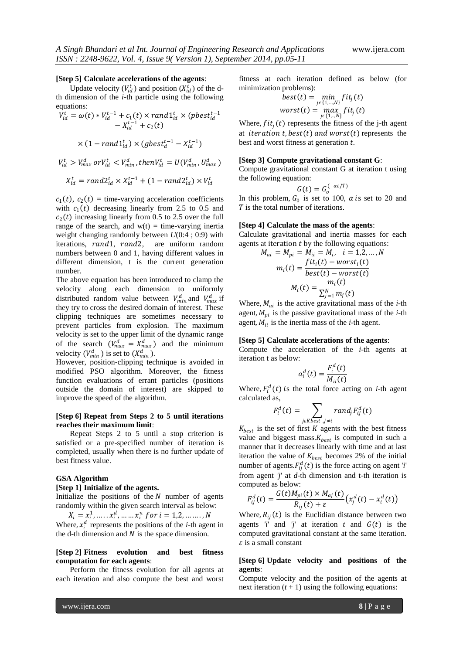#### **[Step 5] Calculate accelerations of the agents**:

Update velocity  $(V_{id}^t)$  and position  $(X_{id}^t)$  of the dth dimension of the *i*-th particle using the following equations:

$$
V_{id}^{t} = \omega(t) * V_{id}^{t-1} + c_1(t) \times rand1_{id}^{t} \times (pbest_{id}^{t-1} - X_{id}^{t-1} + c_2(t))
$$

$$
\times (1 - rand1_{id}^t) \times (gbest_d^{t-1} - X_{id}^{t-1})
$$

$$
V_{id}^t > V_{max}^d \text{ or } V_{id}^t < V_{min}^d, then V_{id}^t = U(V_{min}^d, U_{max}^d)
$$

$$
X_{id}^t = rand2_{id}^t \times X_{id}^{t-1} + (1 - rand2_{id}^t) \times V_{id}^t
$$

 $c_1(t)$ ,  $c_2(t)$  = time-varying acceleration coefficients with  $c_1(t)$  decreasing linearly from 2.5 to 0.5 and  $c_2(t)$  increasing linearly from 0.5 to 2.5 over the full range of the search, and  $w(t) =$  time-varying inertia weight changing randomly between *U*(0:4 ; 0:9) with iterations, rand1, rand2, are uniform random numbers between 0 and 1, having different values in different dimension, t is the current generation number.

The above equation has been introduced to clamp the velocity along each dimension to uniformly distributed random value between  $V_{min}^d$  and  $V_{max}^d$  if they try to cross the desired domain of interest. These clipping techniques are sometimes necessary to prevent particles from explosion. The maximum velocity is set to the upper limit of the dynamic range of the search  $(V_{max}^d = X_{max}^d)$  and the minimum velocity  $(V_{min}^d)$  is set to  $(X_{min}^d)$ .

However, position-clipping technique is avoided in modified PSO algorithm. Moreover, the fitness function evaluations of errant particles (positions outside the domain of interest) are skipped to improve the speed of the algorithm.

#### **[Step 6] Repeat from Steps 2 to 5 until iterations reaches their maximum limit**:

Repeat Steps 2 to 5 until a stop criterion is satisfied or a pre-specified number of iteration is completed, usually when there is no further update of best fitness value.

#### **GSA Algorithm**

#### **[Step 1] Initialize of the agents.**

Initialize the positions of the  $N$  number of agents randomly within the given search interval as below:

 $X_i = x_i^1, \dots, x_i^d, \dots, x_i^n$  for  $i = 1, 2, \dots, N$ Where,  $x_i^d$  represents the positions of the *i*-th agent in the d-th dimension and  $N$  is the space dimension.

### **[Step 2] Fitness evolution and best fitness computation for each agents**:

Perform the fitness evolution for all agents at each iteration and also compute the best and worst fitness at each iteration defined as below (for minimization problems):

$$
best(t) = \min_{j \in \{1, \ldots, N\}} fit_j(t)
$$
  
worst(t) = max\_{j \in \{1, \ldots, N\}} fit\_j(t)

Where,  $fit_i(t)$  represents the fitness of the j-th agent at *iteration t, best(t)* and worst(t) represents the best and worst fitness at generation  $t$ .

#### **[Step 3] Compute gravitational constant G**:

Compute gravitational constant G at iteration t using the following equation:

$$
G(t)=G_o^{(-\alpha t/T)}
$$

In this problem,  $G_0$  is set to 100,  $\alpha$  is set to 20 and  $T$  is the total number of iterations.

#### **[Step 4] Calculate the mass of the agents**:

Calculate gravitational and inertia masses for each agents at iteration  $t$  by the following equations:

$$
M_{ai} = M_{pi} = M_{ii} = M_i, \quad i = 1, 2, \dots, N
$$

$$
m_i(t) = \frac{fit_i(t) - worst_i(t)}{best(t) - worst(t)}
$$

$$
M_i(t) = \frac{m_i(t)}{\sum_{j=1}^{N} m_j(t)}
$$

Where,  $M_{ai}$  is the active gravitational mass of the *i*-th agent,  $M_{pi}$  is the passive gravitational mass of the *i*-th agent,  $M_{ii}$  is the inertia mass of the *i*-th agent.

#### **[Step 5] Calculate accelerations of the agents**:

Compute the acceleration of the *i*-th agents at iteration t as below:

$$
a_i^d(t) = \frac{F_i^d(t)}{M_{ii}(t)}
$$

Where,  $F_i^d(t)$  is the total force acting on *i*-th agent calculated as,

$$
F_i^d(t) = \sum_{j \in Kbest, j \neq i} rand_j F_{ij}^d(t)
$$

 $K_{best}$  is the set of first  $K$  agents with the best fitness value and biggest mass.  $K_{best}$  is computed in such a manner that it decreases linearly with time and at last iteration the value of  $K_{best}$  becomes 2% of the initial number of agents.  $F_{ij}^d(t)$  is the force acting on agent '*i*' from agent *'j*' at *d*-th dimension and t-th iteration is computed as below:

$$
F_{ij}^d(t) = \frac{G(t)M_{pi}(t) \times M_{aj}(t)}{R_{ij}(t) + \varepsilon} \big(x_j^d(t) - x_i^d(t)\big)
$$

Where,  $R_{ij}(t)$  is the Euclidian distance between two agents *'i*' and *'j*' at iteration  $t$  and  $G(t)$  is the computed gravitational constant at the same iteration.  $\varepsilon$  is a small constant

### **[Step 6] Update velocity and positions of the agents**:

Compute velocity and the position of the agents at next iteration  $(t + 1)$  using the following equations: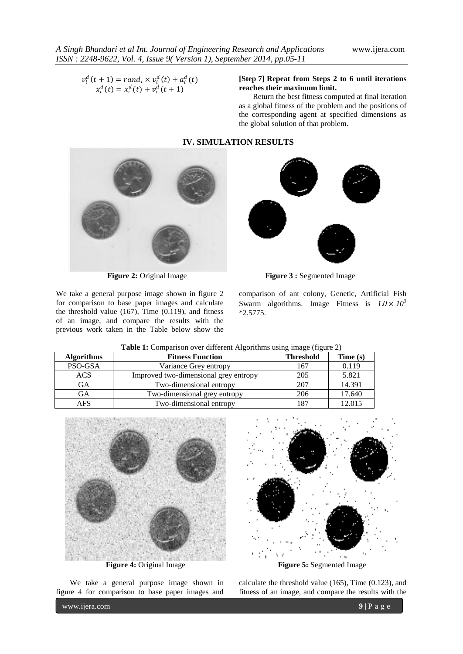$v_i^d(t + 1) = rand_i \times v_i^d(t) + a_i^d(t)$  $x_i^d(t) = x_i^d(t) + v_i^d(t+1)$ 

# **[Step 7] Repeat from Steps 2 to 6 until iterations reaches their maximum limit.**

Return the best fitness computed at final iteration as a global fitness of the problem and the positions of the corresponding agent at specified dimensions as the global solution of that problem.

## **IV. SIMULATION RESULTS**



We take a general purpose image shown in figure 2 for comparison to base paper images and calculate the threshold value  $(167)$ , Time  $(0.119)$ , and fitness of an image, and compare the results with the previous work taken in the Table below show the



**Figure 2:** Original Image **Figure 3 :** Segmented Image

comparison of ant colony, Genetic, Artificial Fish Swarm algorithms. Image Fitness is  $1.0 \times 10^3$ \*2.5775.

| <b>Algorithms</b> | <b>Fitness Function</b>               | <b>Threshold</b> | Time (s) |
|-------------------|---------------------------------------|------------------|----------|
| PSO-GSA           | Variance Grey entropy                 | 167              | 0.119    |
| <b>ACS</b>        | Improved two-dimensional grey entropy | 205              | 5.821    |
| GА                | Two-dimensional entropy               | 207              | 14.391   |
| GА                | Two-dimensional grey entropy          | 206              | 17.640   |
| AFS               | Two-dimensional entropy               | 187              | 12.015   |

**Table 1:** Comparison over different Algorithms using image (figure 2)



We take a general purpose image shown in figure 4 for comparison to base paper images and



calculate the threshold value (165), Time (0.123), and fitness of an image, and compare the results with the

www.ijera.com **9** | P a g e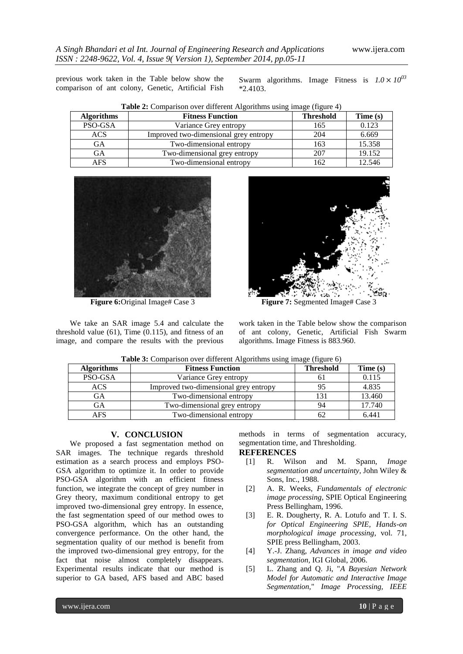previous work taken in the Table below show the comparison of ant colony, Genetic, Artificial Fish Swarm algorithms. Image Fitness is  $1.0 \times 10^{03}$ \*2.4103.

| <b>Algorithms</b> | <b>Fitness Function</b>               | <b>Threshold</b> | Time (s) |
|-------------------|---------------------------------------|------------------|----------|
| PSO-GSA           | Variance Grey entropy                 | 165              | 0.123    |
| ACS               | Improved two-dimensional grey entropy | 204              | 6.669    |
| GА                | Two-dimensional entropy               | 163              | 15.358   |
| GА                | Two-dimensional grey entropy          | 207              | 19.152   |
| AFS               | Two-dimensional entropy               | 162              | 12.546   |





We take an SAR image 5.4 and calculate the threshold value (61), Time (0.115), and fitness of an image, and compare the results with the previous



work taken in the Table below show the comparison of ant colony, Genetic, Artificial Fish Swarm algorithms. Image Fitness is 883.960.

| <b>Algorithms</b> | <b>Fitness Function</b>               | <b>Threshold</b> | Time (s) |
|-------------------|---------------------------------------|------------------|----------|
| PSO-GSA           | Variance Grey entropy                 |                  | 0.115    |
| <b>ACS</b>        | Improved two-dimensional grey entropy | 95               | 4.835    |
| GA                | Two-dimensional entropy               | 131              | 13.460   |
| GА                | Two-dimensional grey entropy          | 94               | 17.740   |
| AFS               | Two-dimensional entropy               |                  | 6.441    |

**Table 3:** Comparison over different Algorithms using image (figure 6)

### **V. CONCLUSION**

We proposed a fast segmentation method on SAR images. The technique regards threshold estimation as a search process and employs PSO-GSA algorithm to optimize it. In order to provide PSO-GSA algorithm with an efficient fitness function, we integrate the concept of grey number in Grey theory, maximum conditional entropy to get improved two-dimensional grey entropy. In essence, the fast segmentation speed of our method owes to PSO-GSA algorithm, which has an outstanding convergence performance. On the other hand, the segmentation quality of our method is benefit from the improved two-dimensional grey entropy, for the fact that noise almost completely disappears. Experimental results indicate that our method is superior to GA based, AFS based and ABC based

methods in terms of segmentation accuracy, segmentation time, and Thresholding.

### **REFERENCES**

- [1] R. Wilson and M. Spann, *Image segmentation and uncertainty,* John Wiley & Sons, Inc., 1988.
- [2] A. R. Weeks, *Fundamentals of electronic image processing,* SPIE Optical Engineering Press Bellingham, 1996.
- [3] E. R. Dougherty, R. A. Lotufo and T. I. S. *for Optical Engineering SPIE, Hands-on morphological image processing*, vol. 71, SPIE press Bellingham, 2003.
- [4] Y.-J. Zhang, *Advances in image and video segmentation,* IGI Global, 2006.
- [5] L. Zhang and Q. Ji, "*A Bayesian Network Model for Automatic and Interactive Image Segmentation,*" *Image Processing, IEEE*